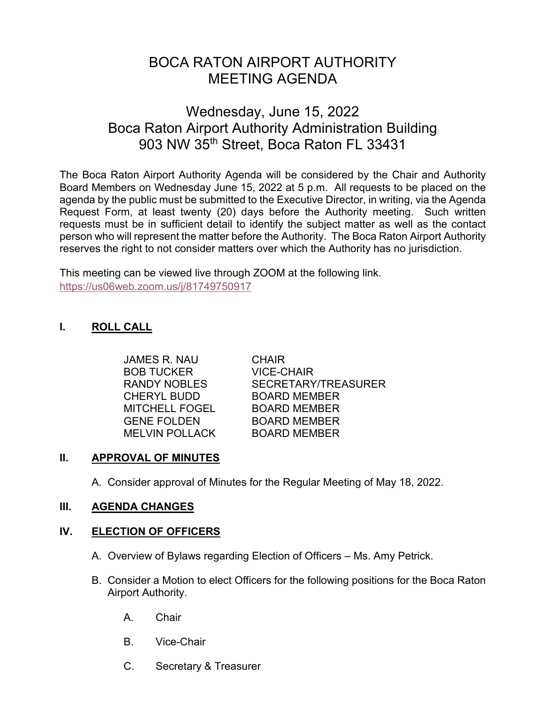# BOCA RATON AIRPORT AUTHORITY MEETING AGENDA

# Wednesday, June 15, 2022 Boca Raton Airport Authority Administration Building 903 NW 35<sup>th</sup> Street, Boca Raton FL 33431

The Boca Raton Airport Authority Agenda will be considered by the Chair and Authority Board Members on Wednesday June 15, 2022 at 5 p.m. All requests to be placed on the agenda by the public must be submitted to the Executive Director, in writing, via the Agenda Request Form, at least twenty (20) days before the Authority meeting. Such written requests must be in sufficient detail to identify the subject matter as well as the contact person who will represent the matter before the Authority. The Boca Raton Airport Authority reserves the right to not consider matters over which the Authority has no jurisdiction.

This meeting can be viewed live through ZOOM at the following link. <https://us06web.zoom.us/j/81749750917>

# **I. ROLL CALL**

 JAMES R. NAU CHAIR BOB TUCKER VICE-CHAIR CHERYL BUDD BOARD MEMBER MITCHELL FOGEL BOARD MEMBER GENE FOLDEN BOARD MEMBER MELVIN POLLACK BOARD MEMBER

RANDY NOBLES SECRETARY/TREASURER

# **II. APPROVAL OF MINUTES**

A. Consider approval of Minutes for the Regular Meeting of May 18, 2022.

# **III. AGENDA CHANGES**

# **IV. ELECTION OF OFFICERS**

- A. Overview of Bylaws regarding Election of Officers Ms. Amy Petrick.
- B. Consider a Motion to elect Officers for the following positions for the Boca Raton Airport Authority.
	- A. Chair
	- B. Vice-Chair
	- C. Secretary & Treasurer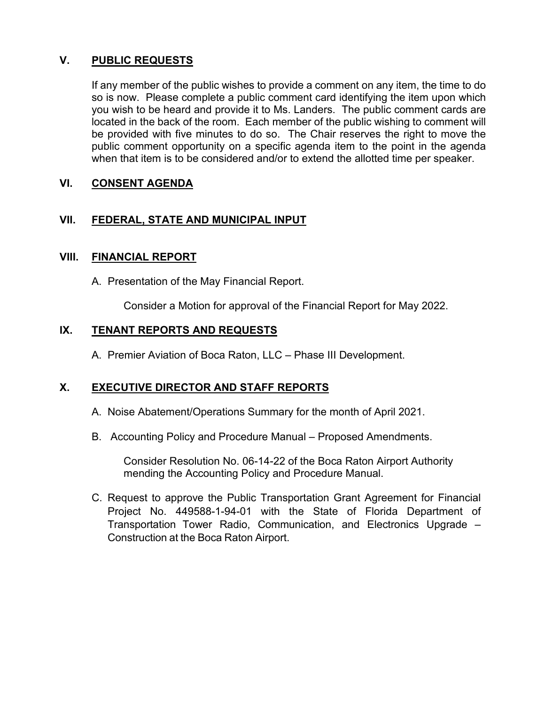# **V. PUBLIC REQUESTS**

If any member of the public wishes to provide a comment on any item, the time to do so is now. Please complete a public comment card identifying the item upon which you wish to be heard and provide it to Ms. Landers. The public comment cards are located in the back of the room. Each member of the public wishing to comment will be provided with five minutes to do so. The Chair reserves the right to move the public comment opportunity on a specific agenda item to the point in the agenda when that item is to be considered and/or to extend the allotted time per speaker.

# **VI. CONSENT AGENDA**

# **VII. FEDERAL, STATE AND MUNICIPAL INPUT**

#### **VIII. FINANCIAL REPORT**

A. Presentation of the May Financial Report.

Consider a Motion for approval of the Financial Report for May 2022.

#### **IX. TENANT REPORTS AND REQUESTS**

A. Premier Aviation of Boca Raton, LLC – Phase III Development.

# **X. EXECUTIVE DIRECTOR AND STAFF REPORTS**

- A. Noise Abatement/Operations Summary for the month of April 2021.
- B. Accounting Policy and Procedure Manual Proposed Amendments.

Consider Resolution No. 06-14-22 of the Boca Raton Airport Authority mending the Accounting Policy and Procedure Manual.

C. Request to approve the Public Transportation Grant Agreement for Financial Project No. 449588-1-94-01 with the State of Florida Department of Transportation Tower Radio, Communication, and Electronics Upgrade – Construction at the Boca Raton Airport.